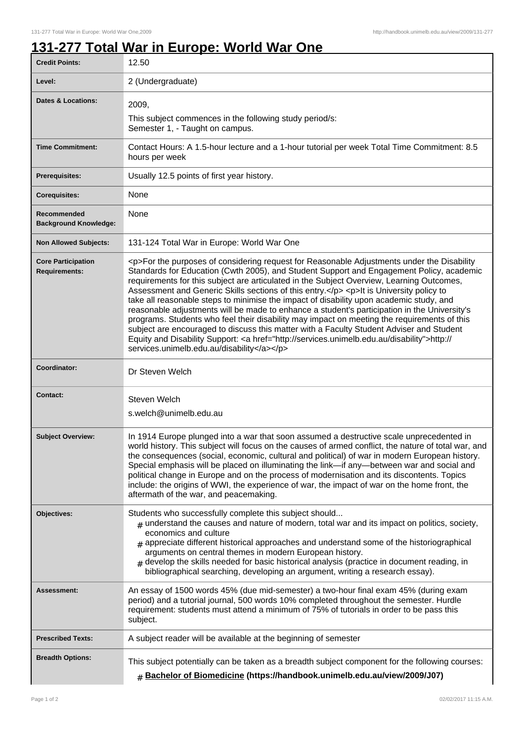## **131-277 Total War in Europe: World War One**

| <b>Credit Points:</b>                             | 12.50                                                                                                                                                                                                                                                                                                                                                                                                                                                                                                                                                                                                                                                                                                                                                                                                                                                                                                                        |
|---------------------------------------------------|------------------------------------------------------------------------------------------------------------------------------------------------------------------------------------------------------------------------------------------------------------------------------------------------------------------------------------------------------------------------------------------------------------------------------------------------------------------------------------------------------------------------------------------------------------------------------------------------------------------------------------------------------------------------------------------------------------------------------------------------------------------------------------------------------------------------------------------------------------------------------------------------------------------------------|
| Level:                                            | 2 (Undergraduate)                                                                                                                                                                                                                                                                                                                                                                                                                                                                                                                                                                                                                                                                                                                                                                                                                                                                                                            |
| <b>Dates &amp; Locations:</b>                     | 2009,                                                                                                                                                                                                                                                                                                                                                                                                                                                                                                                                                                                                                                                                                                                                                                                                                                                                                                                        |
|                                                   | This subject commences in the following study period/s:<br>Semester 1, - Taught on campus.                                                                                                                                                                                                                                                                                                                                                                                                                                                                                                                                                                                                                                                                                                                                                                                                                                   |
| <b>Time Commitment:</b>                           | Contact Hours: A 1.5-hour lecture and a 1-hour tutorial per week Total Time Commitment: 8.5<br>hours per week                                                                                                                                                                                                                                                                                                                                                                                                                                                                                                                                                                                                                                                                                                                                                                                                                |
| Prerequisites:                                    | Usually 12.5 points of first year history.                                                                                                                                                                                                                                                                                                                                                                                                                                                                                                                                                                                                                                                                                                                                                                                                                                                                                   |
| <b>Corequisites:</b>                              | None                                                                                                                                                                                                                                                                                                                                                                                                                                                                                                                                                                                                                                                                                                                                                                                                                                                                                                                         |
| Recommended<br><b>Background Knowledge:</b>       | None                                                                                                                                                                                                                                                                                                                                                                                                                                                                                                                                                                                                                                                                                                                                                                                                                                                                                                                         |
| <b>Non Allowed Subjects:</b>                      | 131-124 Total War in Europe: World War One                                                                                                                                                                                                                                                                                                                                                                                                                                                                                                                                                                                                                                                                                                                                                                                                                                                                                   |
| <b>Core Participation</b><br><b>Requirements:</b> | <p>For the purposes of considering request for Reasonable Adjustments under the Disability<br/>Standards for Education (Cwth 2005), and Student Support and Engagement Policy, academic<br/>requirements for this subject are articulated in the Subject Overview, Learning Outcomes,<br/>Assessment and Generic Skills sections of this entry.</p> <p>lt is University policy to<br/>take all reasonable steps to minimise the impact of disability upon academic study, and<br/>reasonable adjustments will be made to enhance a student's participation in the University's<br/>programs. Students who feel their disability may impact on meeting the requirements of this<br/>subject are encouraged to discuss this matter with a Faculty Student Adviser and Student<br/>Equity and Disability Support: &lt; a href="http://services.unimelb.edu.au/disability"&gt;http://<br/>services.unimelb.edu.au/disability</p> |
| Coordinator:                                      | Dr Steven Welch                                                                                                                                                                                                                                                                                                                                                                                                                                                                                                                                                                                                                                                                                                                                                                                                                                                                                                              |
| <b>Contact:</b>                                   | Steven Welch<br>s.welch@unimelb.edu.au                                                                                                                                                                                                                                                                                                                                                                                                                                                                                                                                                                                                                                                                                                                                                                                                                                                                                       |
| <b>Subject Overview:</b>                          | In 1914 Europe plunged into a war that soon assumed a destructive scale unprecedented in<br>world history. This subject will focus on the causes of armed conflict, the nature of total war, and<br>the consequences (social, economic, cultural and political) of war in modern European history.<br>Special emphasis will be placed on illuminating the link-if any-between war and social and<br>political change in Europe and on the process of modernisation and its discontents. Topics<br>include: the origins of WWI, the experience of war, the impact of war on the home front, the<br>aftermath of the war, and peacemaking.                                                                                                                                                                                                                                                                                     |
| Objectives:                                       | Students who successfully complete this subject should<br>$_{\text{\#}}$ understand the causes and nature of modern, total war and its impact on politics, society,<br>economics and culture<br>$_{\text{\#}}$ appreciate different historical approaches and understand some of the historiographical<br>arguments on central themes in modern European history.<br>$#$ develop the skills needed for basic historical analysis (practice in document reading, in<br>bibliographical searching, developing an argument, writing a research essay).                                                                                                                                                                                                                                                                                                                                                                          |
| Assessment:                                       | An essay of 1500 words 45% (due mid-semester) a two-hour final exam 45% (during exam<br>period) and a tutorial journal, 500 words 10% completed throughout the semester. Hurdle<br>requirement: students must attend a minimum of 75% of tutorials in order to be pass this<br>subject.                                                                                                                                                                                                                                                                                                                                                                                                                                                                                                                                                                                                                                      |
| <b>Prescribed Texts:</b>                          | A subject reader will be available at the beginning of semester                                                                                                                                                                                                                                                                                                                                                                                                                                                                                                                                                                                                                                                                                                                                                                                                                                                              |
| <b>Breadth Options:</b>                           | This subject potentially can be taken as a breadth subject component for the following courses:<br><b># Bachelor of Biomedicine (https://handbook.unimelb.edu.au/view/2009/J07)</b>                                                                                                                                                                                                                                                                                                                                                                                                                                                                                                                                                                                                                                                                                                                                          |